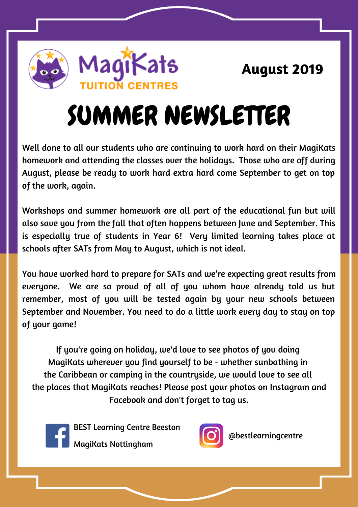# SUMMER NEWSLETTER

Well done to all our students who are continuing to work hard on their MagiKats homework and attending the classes over the holidays. Those who are off during August, please be ready to work hard extra hard come September to get on top of the work, again.

Workshops and summer homework are all part of the educational fun but will also save you from the fall that often happens between June and September. This is especially true of students in Year 6! Very limited learning takes place at schools after SATs from May to August, which is not ideal.

You have worked hard to prepare for SATs and we're expecting great results from everyone. We are so proud of all of you whom have already told us but remember, most of you will be tested again by your new schools between September and November. You need to do a little work every day to stay on top of your game!

If you're going on holiday, we'd love to see photos of you doing MagiKats wherever you find yourself to be - whether sunbathing in the Caribbean or camping in the countryside, we would love to see all the places that MagiKats reaches! Please post your photos on Instagram and Facebook and don't forget to tag us.



BEST Learning Centre Beeston

MagiKats Nottingham



@bestlearningcentre



**August 2019**